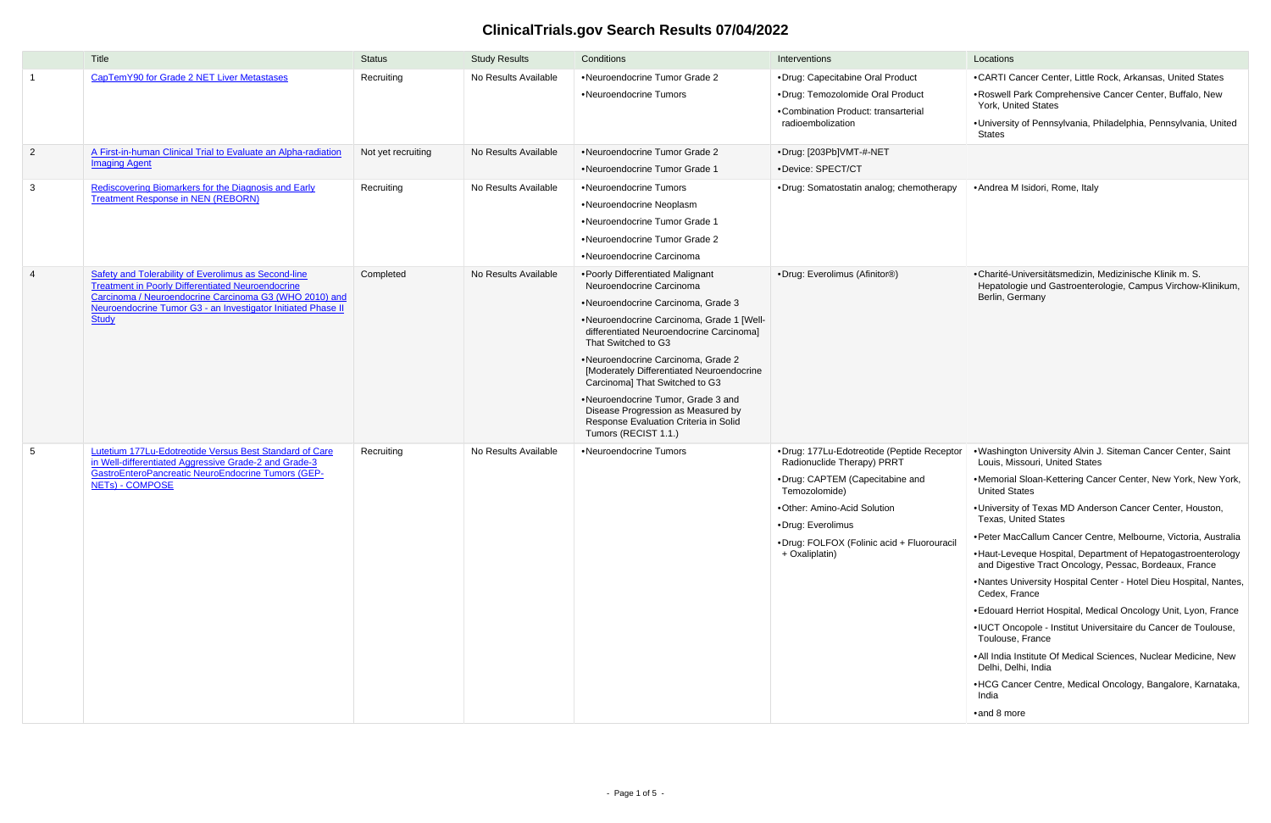## **ClinicalTrials.gov Search Results 07/04/2022**

|                 | Title                                                                                                                                                                                                                                                             | <b>Status</b>      | <b>Study Results</b> | Conditions                                                                                                                                                                                                                                                                                                                                                                                                                                                                            | Interventions                                                                                                                                                                                                                                    | Locations                                                                                                                                                                                                                                                                                                                                                                                                                                                                                                                                                                                                                                                                                                                                                                                                                                                                                                          |
|-----------------|-------------------------------------------------------------------------------------------------------------------------------------------------------------------------------------------------------------------------------------------------------------------|--------------------|----------------------|---------------------------------------------------------------------------------------------------------------------------------------------------------------------------------------------------------------------------------------------------------------------------------------------------------------------------------------------------------------------------------------------------------------------------------------------------------------------------------------|--------------------------------------------------------------------------------------------------------------------------------------------------------------------------------------------------------------------------------------------------|--------------------------------------------------------------------------------------------------------------------------------------------------------------------------------------------------------------------------------------------------------------------------------------------------------------------------------------------------------------------------------------------------------------------------------------------------------------------------------------------------------------------------------------------------------------------------------------------------------------------------------------------------------------------------------------------------------------------------------------------------------------------------------------------------------------------------------------------------------------------------------------------------------------------|
|                 | CapTemY90 for Grade 2 NET Liver Metastases                                                                                                                                                                                                                        | Recruiting         | No Results Available | •Neuroendocrine Tumor Grade 2<br>•Neuroendocrine Tumors                                                                                                                                                                                                                                                                                                                                                                                                                               | •Drug: Capecitabine Oral Product<br>·Drug: Temozolomide Oral Product<br>•Combination Product: transarterial<br>radioembolization                                                                                                                 | •CARTI Cancer Center, Little Rock, Arkansas, United States<br>.Roswell Park Comprehensive Cancer Center, Buffalo, New<br>York, United States<br>•University of Pennsylvania, Philadelphia, Pennsylvania, United<br>States                                                                                                                                                                                                                                                                                                                                                                                                                                                                                                                                                                                                                                                                                          |
| $\overline{2}$  | A First-in-human Clinical Trial to Evaluate an Alpha-radiation<br><b>Imaging Agent</b>                                                                                                                                                                            | Not yet recruiting | No Results Available | •Neuroendocrine Tumor Grade 2<br>•Neuroendocrine Tumor Grade 1                                                                                                                                                                                                                                                                                                                                                                                                                        | •Drug: [203Pb]VMT-#-NET<br>·Device: SPECT/CT                                                                                                                                                                                                     |                                                                                                                                                                                                                                                                                                                                                                                                                                                                                                                                                                                                                                                                                                                                                                                                                                                                                                                    |
| $\mathbf{3}$    | Rediscovering Biomarkers for the Diagnosis and Early<br><b>Treatment Response in NEN (REBORN)</b>                                                                                                                                                                 | Recruiting         | No Results Available | •Neuroendocrine Tumors<br>•Neuroendocrine Neoplasm<br>•Neuroendocrine Tumor Grade 1<br>•Neuroendocrine Tumor Grade 2<br>•Neuroendocrine Carcinoma                                                                                                                                                                                                                                                                                                                                     | ·Drug: Somatostatin analog; chemotherapy                                                                                                                                                                                                         | • Andrea M Isidori, Rome, Italy                                                                                                                                                                                                                                                                                                                                                                                                                                                                                                                                                                                                                                                                                                                                                                                                                                                                                    |
| $\overline{4}$  | <b>Safety and Tolerability of Everolimus as Second-line</b><br><b>Treatment in Poorly Differentiated Neuroendocrine</b><br>Carcinoma / Neuroendocrine Carcinoma G3 (WHO 2010) and<br>Neuroendocrine Tumor G3 - an Investigator Initiated Phase II<br><b>Study</b> | Completed          | No Results Available | • Poorly Differentiated Malignant<br>Neuroendocrine Carcinoma<br>•Neuroendocrine Carcinoma, Grade 3<br>•Neuroendocrine Carcinoma, Grade 1 [Well-<br>differentiated Neuroendocrine Carcinoma]<br>That Switched to G3<br>•Neuroendocrine Carcinoma, Grade 2<br>[Moderately Differentiated Neuroendocrine<br>Carcinoma] That Switched to G3<br>•Neuroendocrine Tumor, Grade 3 and<br>Disease Progression as Measured by<br>Response Evaluation Criteria in Solid<br>Tumors (RECIST 1.1.) | •Drug: Everolimus (Afinitor®)                                                                                                                                                                                                                    | •Charité-Universitätsmedizin, Medizinische Klinik m. S.<br>Hepatologie und Gastroenterologie, Campus Virchow-Klinikum,<br>Berlin, Germany                                                                                                                                                                                                                                                                                                                                                                                                                                                                                                                                                                                                                                                                                                                                                                          |
| $5\overline{)}$ | Lutetium 177Lu-Edotreotide Versus Best Standard of Care<br>in Well-differentiated Aggressive Grade-2 and Grade-3<br><b>GastroEnteroPancreatic NeuroEndocrine Tumors (GEP-</b><br>NETs) - COMPOSE                                                                  | Recruiting         | No Results Available | •Neuroendocrine Tumors                                                                                                                                                                                                                                                                                                                                                                                                                                                                | •Drug: 177Lu-Edotreotide (Peptide Receptor<br>Radionuclide Therapy) PRRT<br>•Drug: CAPTEM (Capecitabine and<br>Temozolomide)<br>•Other: Amino-Acid Solution<br>•Drug: Everolimus<br>·Drug: FOLFOX (Folinic acid + Fluorouracil<br>+ Oxaliplatin) | . Washington University Alvin J. Siteman Cancer Center, Saint<br>Louis, Missouri, United States<br>.Memorial Sloan-Kettering Cancer Center, New York, New York,<br><b>United States</b><br>. University of Texas MD Anderson Cancer Center, Houston,<br><b>Texas, United States</b><br>•Peter MacCallum Cancer Centre, Melbourne, Victoria, Australia<br>• Haut-Leveque Hospital, Department of Hepatogastroenterology<br>and Digestive Tract Oncology, Pessac, Bordeaux, France<br>.Nantes University Hospital Center - Hotel Dieu Hospital, Nantes,<br>Cedex, France<br>• Edouard Herriot Hospital, Medical Oncology Unit, Lyon, France<br>• IUCT Oncopole - Institut Universitaire du Cancer de Toulouse,<br>Toulouse, France<br>.All India Institute Of Medical Sciences, Nuclear Medicine, New<br>Delhi, Delhi, India<br>• HCG Cancer Centre, Medical Oncology, Bangalore, Karnataka,<br>India<br>•and 8 more |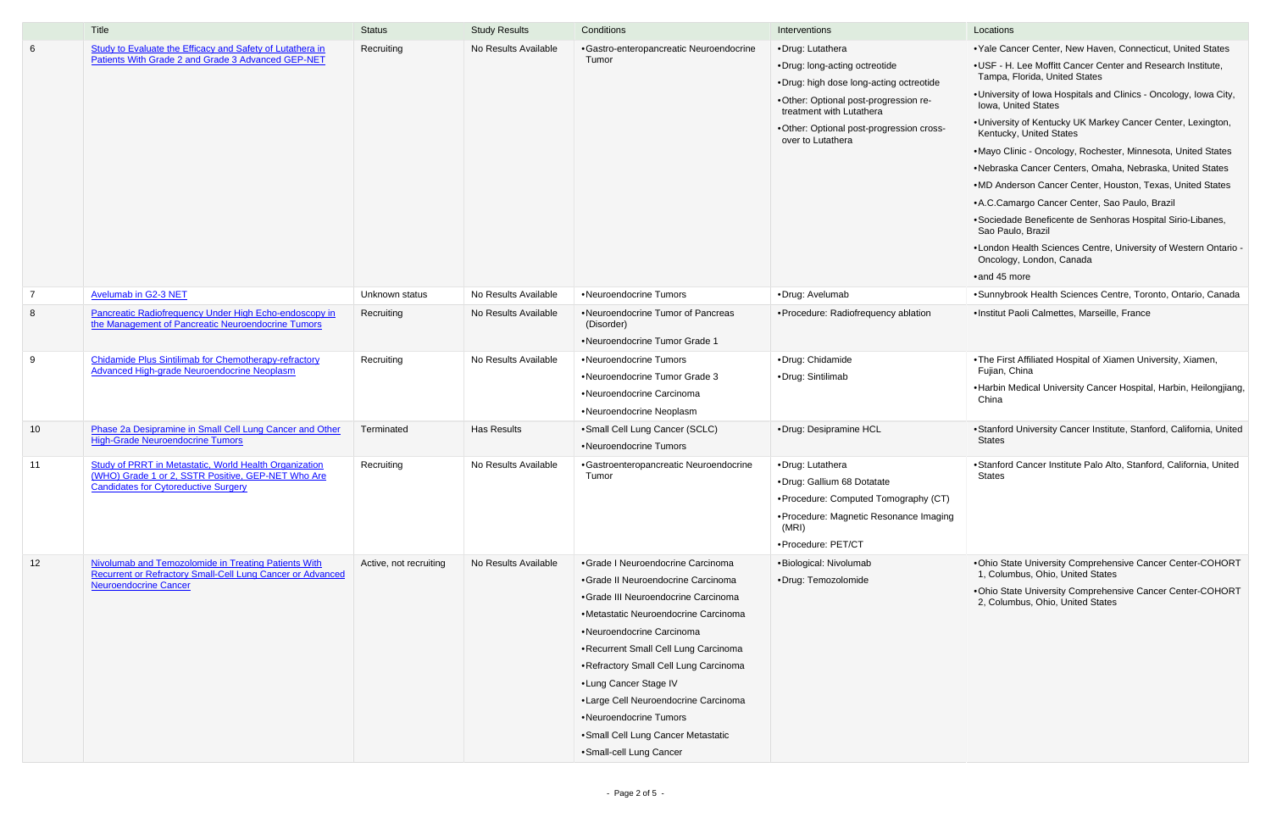|                 | Title                                                                                                        | <b>Status</b>          | <b>Study Results</b> | Conditions                                                | Interventions                                                     | Locations                                                                                     |
|-----------------|--------------------------------------------------------------------------------------------------------------|------------------------|----------------------|-----------------------------------------------------------|-------------------------------------------------------------------|-----------------------------------------------------------------------------------------------|
| $6\overline{6}$ | Study to Evaluate the Efficacy and Safety of Lutathera in                                                    | Recruiting             | No Results Available | •Gastro-enteropancreatic Neuroendocrine                   | •Drug: Lutathera                                                  | • Yale Cancer Center, New Haven, Connecticut, United States                                   |
|                 | Patients With Grade 2 and Grade 3 Advanced GEP-NET                                                           |                        |                      | Tumor                                                     | •Drug: long-acting octreotide                                     | .USF - H. Lee Moffitt Cancer Center and Research Institute,                                   |
|                 |                                                                                                              |                        |                      |                                                           | .Drug: high dose long-acting octreotide                           | Tampa, Florida, United States                                                                 |
|                 |                                                                                                              |                        |                      |                                                           | .Other: Optional post-progression re-<br>treatment with Lutathera | . University of Iowa Hospitals and Clinics - Oncology, Iowa City,<br>Iowa, United States      |
|                 |                                                                                                              |                        |                      |                                                           | •Other: Optional post-progression cross-<br>over to Lutathera     | • University of Kentucky UK Markey Cancer Center, Lexington,<br>Kentucky, United States       |
|                 |                                                                                                              |                        |                      |                                                           |                                                                   | .Mayo Clinic - Oncology, Rochester, Minnesota, United States                                  |
|                 |                                                                                                              |                        |                      |                                                           |                                                                   | •Nebraska Cancer Centers, Omaha, Nebraska, United States                                      |
|                 |                                                                                                              |                        |                      |                                                           |                                                                   | .MD Anderson Cancer Center, Houston, Texas, United States                                     |
|                 |                                                                                                              |                        |                      |                                                           |                                                                   | • A.C.Camargo Cancer Center, Sao Paulo, Brazil                                                |
|                 |                                                                                                              |                        |                      |                                                           |                                                                   | • Sociedade Beneficente de Senhoras Hospital Sirio-Libanes,<br>Sao Paulo, Brazil              |
|                 |                                                                                                              |                        |                      |                                                           |                                                                   | . London Health Sciences Centre, University of Western Ontario -<br>Oncology, London, Canada  |
|                 |                                                                                                              |                        |                      |                                                           |                                                                   | •and 45 more                                                                                  |
| $\overline{7}$  | <b>Avelumab in G2-3 NET</b>                                                                                  | Unknown status         | No Results Available | •Neuroendocrine Tumors                                    | •Drug: Avelumab                                                   | • Sunnybrook Health Sciences Centre, Toronto, Ontario, Canada                                 |
| 8               | Pancreatic Radiofrequency Under High Echo-endoscopy in<br>the Management of Pancreatic Neuroendocrine Tumors | Recruiting             | No Results Available | •Neuroendocrine Tumor of Pancreas<br>(Disorder)           | · Procedure: Radiofrequency ablation                              | ·Institut Paoli Calmettes, Marseille, France                                                  |
|                 |                                                                                                              |                        |                      | •Neuroendocrine Tumor Grade 1                             |                                                                   |                                                                                               |
| 9               | <b>Chidamide Plus Sintilimab for Chemotherapy-refractory</b>                                                 | Recruiting             | No Results Available | •Neuroendocrine Tumors                                    | ·Drug: Chidamide                                                  | .The First Affiliated Hospital of Xiamen University, Xiamen,<br>Fujian, China                 |
|                 | Advanced High-grade Neuroendocrine Neoplasm                                                                  |                        |                      | •Neuroendocrine Tumor Grade 3                             | •Drug: Sintilimab                                                 |                                                                                               |
|                 |                                                                                                              |                        |                      | •Neuroendocrine Carcinoma                                 |                                                                   | • Harbin Medical University Cancer Hospital, Harbin, Heilongjiang,<br>China                   |
|                 |                                                                                                              |                        |                      | •Neuroendocrine Neoplasm                                  |                                                                   |                                                                                               |
| 10              | Phase 2a Desipramine in Small Cell Lung Cancer and Other<br><b>High-Grade Neuroendocrine Tumors</b>          | Terminated             | <b>Has Results</b>   | • Small Cell Lung Cancer (SCLC)<br>•Neuroendocrine Tumors | •Drug: Desipramine HCL                                            | • Stanford University Cancer Institute, Stanford, California, United<br><b>States</b>         |
| 11              | Study of PRRT in Metastatic, World Health Organization                                                       | Recruiting             | No Results Available | •Gastroenteropancreatic Neuroendocrine                    | •Drug: Lutathera                                                  | • Stanford Cancer Institute Palo Alto, Stanford, California, United                           |
|                 | (WHO) Grade 1 or 2, SSTR Positive, GEP-NET Who Are<br><b>Candidates for Cytoreductive Surgery</b>            |                        |                      | Tumor                                                     | •Drug: Gallium 68 Dotatate                                        | <b>States</b>                                                                                 |
|                 |                                                                                                              |                        |                      |                                                           | • Procedure: Computed Tomography (CT)                             |                                                                                               |
|                 |                                                                                                              |                        |                      |                                                           | • Procedure: Magnetic Resonance Imaging<br>(MRI)                  |                                                                                               |
|                 |                                                                                                              |                        |                      |                                                           | ·Procedure: PET/CT                                                |                                                                                               |
| 12              | Nivolumab and Temozolomide in Treating Patients With                                                         | Active, not recruiting | No Results Available | •Grade I Neuroendocrine Carcinoma                         | ·Biological: Nivolumab                                            | .Ohio State University Comprehensive Cancer Center-COHORT                                     |
|                 | Recurrent or Refractory Small-Cell Lung Cancer or Advanced<br><b>Neuroendocrine Cancer</b>                   |                        |                      | • Grade II Neuroendocrine Carcinoma                       | ·Drug: Temozolomide                                               | 1, Columbus, Ohio, United States                                                              |
|                 |                                                                                                              |                        |                      | • Grade III Neuroendocrine Carcinoma                      |                                                                   | .Ohio State University Comprehensive Cancer Center-COHORT<br>2, Columbus, Ohio, United States |
|                 |                                                                                                              |                        |                      | •Metastatic Neuroendocrine Carcinoma                      |                                                                   |                                                                                               |
|                 |                                                                                                              |                        |                      | •Neuroendocrine Carcinoma                                 |                                                                   |                                                                                               |
|                 |                                                                                                              |                        |                      | • Recurrent Small Cell Lung Carcinoma                     |                                                                   |                                                                                               |
|                 |                                                                                                              |                        |                      | • Refractory Small Cell Lung Carcinoma                    |                                                                   |                                                                                               |
|                 |                                                                                                              |                        |                      | •Lung Cancer Stage IV                                     |                                                                   |                                                                                               |
|                 |                                                                                                              |                        |                      | •Large Cell Neuroendocrine Carcinoma                      |                                                                   |                                                                                               |
|                 |                                                                                                              |                        |                      | •Neuroendocrine Tumors                                    |                                                                   |                                                                                               |
|                 |                                                                                                              |                        |                      | • Small Cell Lung Cancer Metastatic                       |                                                                   |                                                                                               |
|                 |                                                                                                              |                        |                      | ·Small-cell Lung Cancer                                   |                                                                   |                                                                                               |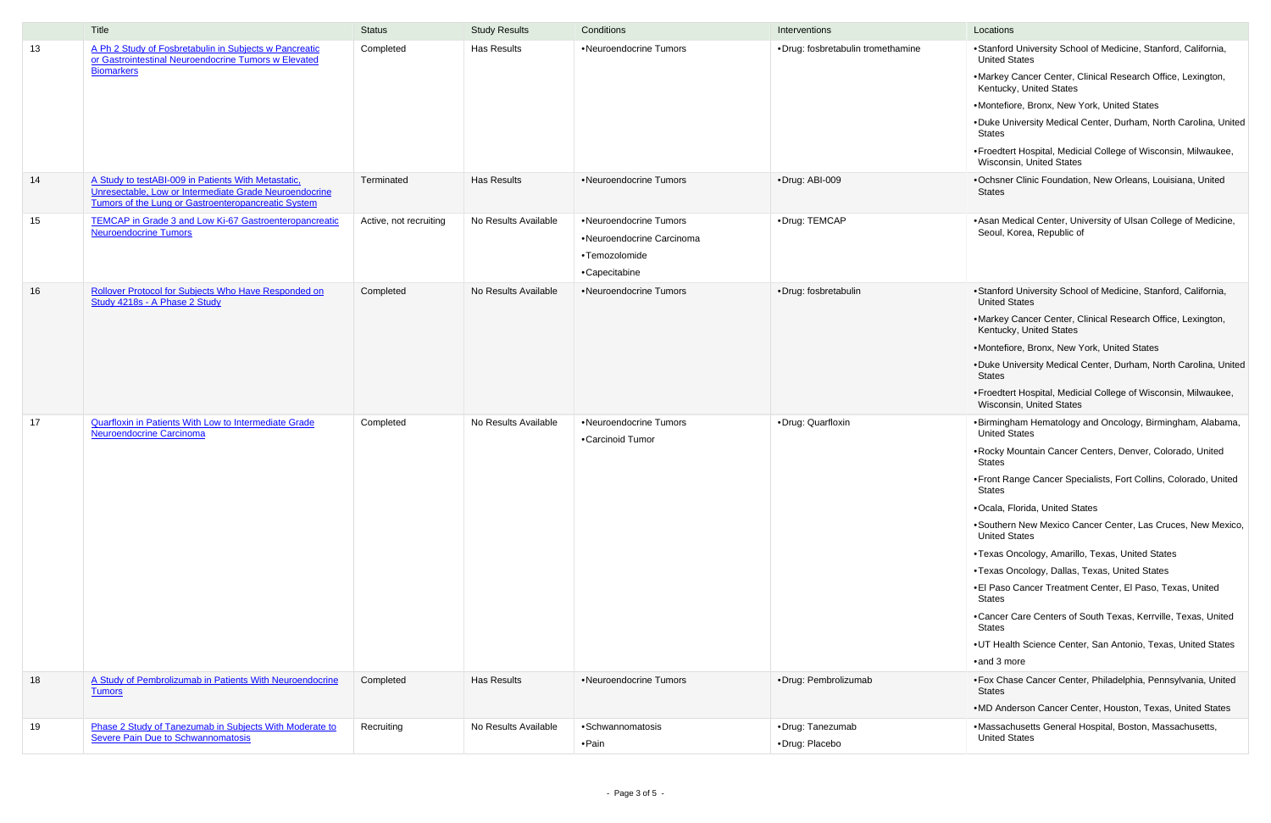|    | Title                                                                                                                                                                | <b>Status</b>          | <b>Study Results</b> | Conditions                                                                            | Interventions                      | Locations                                                                                                                                                                                                            |
|----|----------------------------------------------------------------------------------------------------------------------------------------------------------------------|------------------------|----------------------|---------------------------------------------------------------------------------------|------------------------------------|----------------------------------------------------------------------------------------------------------------------------------------------------------------------------------------------------------------------|
| 13 | A Ph 2 Study of Fosbretabulin in Subjects w Pancreatic<br>or Gastrointestinal Neuroendocrine Tumors w Elevated<br><b>Biomarkers</b>                                  | Completed              | Has Results          | •Neuroendocrine Tumors                                                                | ·Drug: fosbretabulin tromethamine  | ·Stanford<br><b>United S</b><br>•Markey<br>Kentuck<br>·Montefio<br>•Duke Ur<br>States<br>•Froedter<br>Wiscons                                                                                                        |
| 14 | A Study to testABI-009 in Patients With Metastatic,<br>Unresectable, Low or Intermediate Grade Neuroendocrine<br>Tumors of the Lung or Gastroenteropancreatic System | Terminated             | Has Results          | •Neuroendocrine Tumors                                                                | ·Drug: ABI-009                     | •Ochsner<br><b>States</b>                                                                                                                                                                                            |
| 15 | <b>TEMCAP in Grade 3 and Low Ki-67 Gastroenteropancreatic</b><br><b>Neuroendocrine Tumors</b>                                                                        | Active, not recruiting | No Results Available | •Neuroendocrine Tumors<br>•Neuroendocrine Carcinoma<br>•Temozolomide<br>•Capecitabine | •Drug: TEMCAP                      | • Asan Me<br>Seoul, K                                                                                                                                                                                                |
| 16 | Rollover Protocol for Subjects Who Have Responded on<br>Study 4218s - A Phase 2 Study                                                                                | Completed              | No Results Available | •Neuroendocrine Tumors                                                                | ·Drug: fosbretabulin               | ·Stanford<br><b>United S</b><br>·Markey<br>Kentuck<br>·Montefio<br>•Duke Ur<br>States<br>•Froedter<br>Wiscons                                                                                                        |
| 17 | <b>Quarfloxin in Patients With Low to Intermediate Grade</b><br><b>Neuroendocrine Carcinoma</b>                                                                      | Completed              | No Results Available | •Neuroendocrine Tumors<br>•Carcinoid Tumor                                            | •Drug: Quarfloxin                  | ·Birmingh<br><b>United S</b><br>• Rocky M<br>States<br>•Front Ra<br>States<br>·Ocala, F<br>•Southerr<br><b>United S</b><br>•Texas O<br>•Texas O<br>•El Paso<br>States<br>•Cancer 0<br>States<br>•UT Heal<br>·and 3 m |
| 18 | A Study of Pembrolizumab in Patients With Neuroendocrine<br><b>Tumors</b>                                                                                            | Completed              | Has Results          | •Neuroendocrine Tumors                                                                | ·Drug: Pembrolizumab               | •Fox Cha<br>States<br>•MD And                                                                                                                                                                                        |
| 19 | Phase 2 Study of Tanezumab in Subjects With Moderate to<br><b>Severe Pain Due to Schwannomatosis</b>                                                                 | Recruiting             | No Results Available | ·Schwannomatosis<br>• Pain                                                            | •Drug: Tanezumab<br>·Drug: Placebo | ·Massach<br><b>United S</b>                                                                                                                                                                                          |

- •Stanford University School of Medicine, Stanford, California, United States
- •Markey Cancer Center, Clinical Research Office, Lexington, Kentucky, United States
- •Montefiore, Bronx, New York, United States
- •Duke University Medical Center, Durham, North Carolina, United States
- •Froedtert Hospital, Medicial College of Wisconsin, Milwaukee, Wisconsin, United States
- •Ochsner Clinic Foundation, New Orleans, Louisiana, United States
- Asan Medical Center, University of Ulsan College of Medicine, Seoul, Korea, Republic of
- •Stanford University School of Medicine, Stanford, California, United States
- •Markey Cancer Center, Clinical Research Office, Lexington, Kentucky, United States
- •Montefiore, Bronx, New York, United States
- •Duke University Medical Center, Durham, North Carolina, United States
- •Froedtert Hospital, Medicial College of Wisconsin, Milwaukee, Wisconsin, United States
- •Birmingham Hematology and Oncology, Birmingham, Alabama, United States
- •Rocky Mountain Cancer Centers, Denver, Colorado, United States
- •Front Range Cancer Specialists, Fort Collins, Colorado, United States
- •Ocala, Florida, United States
- •Southern New Mexico Cancer Center, Las Cruces, New Mexico, United States
- •Texas Oncology, Amarillo, Texas, United States
- •Texas Oncology, Dallas, Texas, United States
- •El Paso Cancer Treatment Center, El Paso, Texas, United States
- •Cancer Care Centers of South Texas, Kerrville, Texas, United States
- •UT Health Science Center, San Antonio, Texas, United States
- •and 3 more
- •Fox Chase Cancer Center, Philadelphia, Pennsylvania, United States
- •MD Anderson Cancer Center, Houston, Texas, United States
- •Massachusetts General Hospital, Boston, Massachusetts, United States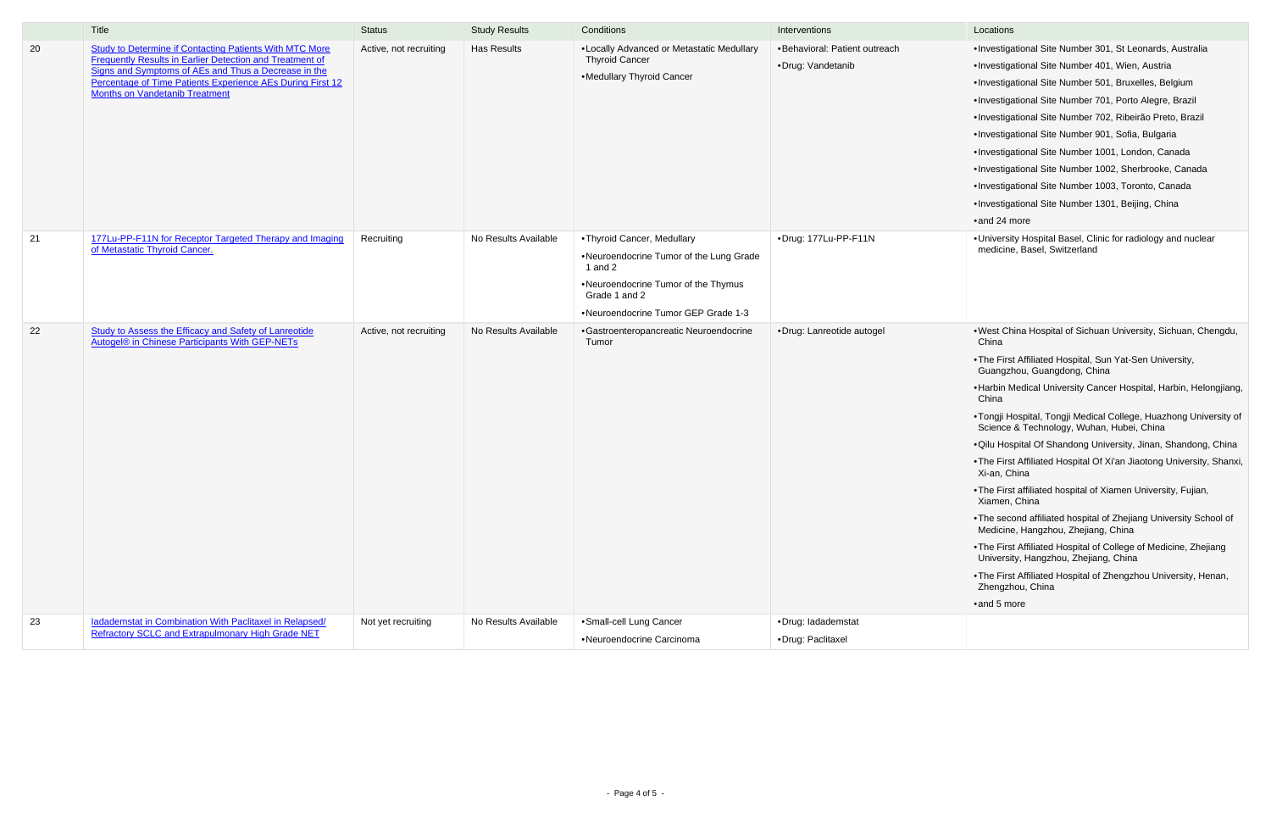|    | Title                                                                                                                                                                                                                                                                                            | <b>Status</b>          | <b>Study Results</b> | Conditions                                                                                                                                                                         | Interventions                                      | Locations                                                                                                                                                                                                                                     |
|----|--------------------------------------------------------------------------------------------------------------------------------------------------------------------------------------------------------------------------------------------------------------------------------------------------|------------------------|----------------------|------------------------------------------------------------------------------------------------------------------------------------------------------------------------------------|----------------------------------------------------|-----------------------------------------------------------------------------------------------------------------------------------------------------------------------------------------------------------------------------------------------|
| 20 | <b>Study to Determine if Contacting Patients With MTC More</b><br><b>Frequently Results in Earlier Detection and Treatment of</b><br>Signs and Symptoms of AEs and Thus a Decrease in the<br>Percentage of Time Patients Experience AEs During First 12<br><b>Months on Vandetanib Treatment</b> | Active, not recruiting | <b>Has Results</b>   | •Locally Advanced or Metastatic Medullary<br><b>Thyroid Cancer</b><br>•Medullary Thyroid Cancer                                                                                    | •Behavioral: Patient outreach<br>•Drug: Vandetanib | ·Investiga<br>·Investiga<br>·Investiga<br>·Investiga<br>·Investiga<br>·Investiga<br>·Investiga<br>·Investiga<br>·Investiga<br>·Investiga<br>$\bullet$ and 24 n                                                                                |
| 21 | 177Lu-PP-F11N for Receptor Targeted Therapy and Imaging<br>of Metastatic Thyroid Cancer.                                                                                                                                                                                                         | Recruiting             | No Results Available | • Thyroid Cancer, Medullary<br>.Neuroendocrine Tumor of the Lung Grade<br>1 and $2$<br>•Neuroendocrine Tumor of the Thymus<br>Grade 1 and 2<br>•Neuroendocrine Tumor GEP Grade 1-3 | ·Drug: 177Lu-PP-F11N                               | ·Universit<br>medicine                                                                                                                                                                                                                        |
| 22 | Study to Assess the Efficacy and Safety of Lanreotide<br>Autogel® in Chinese Participants With GEP-NETs                                                                                                                                                                                          | Active, not recruiting | No Results Available | •Gastroenteropancreatic Neuroendocrine<br>Tumor                                                                                                                                    | •Drug: Lanreotide autogel                          | •West Ch<br>China<br>•The Firs<br>Guangzł<br>• Harbin N<br>China<br>•Tongji H<br>Science<br>·Qilu Hos<br>•The Firs<br>Xi-an, Cl<br>•The Firs<br>Xiamen,<br>•The sec<br>Medicine<br>•The Firs<br>Universit<br>•The Firs<br>Zhengzh<br>•and 5 m |
| 23 | ladademstat in Combination With Paclitaxel in Relapsed/<br><b>Refractory SCLC and Extrapulmonary High Grade NET</b>                                                                                                                                                                              | Not yet recruiting     | No Results Available | ·Small-cell Lung Cancer<br>•Neuroendocrine Carcinoma                                                                                                                               | ·Drug: ladademstat<br>·Drug: Paclitaxel            |                                                                                                                                                                                                                                               |

- •Investigational Site Number 301, St Leonards, Australia
- •Investigational Site Number 401, Wien, Austria
- •Investigational Site Number 501, Bruxelles, Belgium
- •Investigational Site Number 701, Porto Alegre, Brazil
- •Investigational Site Number 702, Ribeirão Preto, Brazil
- •Investigational Site Number 901, Sofia, Bulgaria
- •Investigational Site Number 1001, London, Canada
- •Investigational Site Number 1002, Sherbrooke, Canada
- •Investigational Site Number 1003, Toronto, Canada
- •Investigational Site Number 1301, Beijing, China
- •and 24 more
- •University Hospital Basel, Clinic for radiology and nuclear medicine, Basel, Switzerland
- •West China Hospital of Sichuan University, Sichuan, Chengdu, China
- •The First Affiliated Hospital, Sun Yat-Sen University, Guangzhou, Guangdong, China
- •Harbin Medical University Cancer Hospital, Harbin, Helongjiang, China
- •Tongji Hospital, Tongji Medical College, Huazhong University of Science & Technology, Wuhan, Hubei, China
- •Qilu Hospital Of Shandong University, Jinan, Shandong, China
- •The First Affiliated Hospital Of Xi'an Jiaotong University, Shanxi, Xi-an, China
- •The First affiliated hospital of Xiamen University, Fujian, Xiamen, China
- •The second affiliated hospital of Zhejiang University School of Medicine, Hangzhou, Zhejiang, China
- •The First Affiliated Hospital of College of Medicine, Zhejiang University, Hangzhou, Zhejiang, China
- •The First Affiliated Hospital of Zhengzhou University, Henan, Zhengzhou, China

•and 5 more